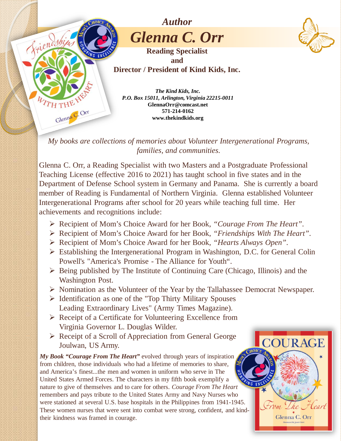

*My books are collections of memories about Volunteer Intergenerational Programs, families, and communities.*

Glenna C. Orr, a Reading Specialist with two Masters and a Postgraduate Professional Teaching License (effective 2016 to 2021) has taught school in five states and in the Department of Defense School system in Germany and Panama. She is currently a board member of Reading is Fundamental of Northern Virginia. Glenna established Volunteer Intergenerational Programs after school for 20 years while teaching full time. Her achievements and recognitions include:

- Recipient of Mom's Choice Award for her Book, *"Courage From The Heart"*.
- Recipient of Mom's Choice Award for her Book, *"Friendships With The Heart"*.
- Recipient of Mom's Choice Award for her Book, *"Hearts Always Open"*.
- Establishing the Intergenerational Program in Washington, D.C. for General Colin Powell's "America's Promise - The Alliance for Youth".
- $\triangleright$  Being published by The Institute of Continuing Care (Chicago, Illinois) and the Washington Post.
- $\triangleright$  Nomination as the Volunteer of the Year by the Tallahassee Democrat Newspaper.

**COURAGE** 

<u> Lhe Heart</u>

Glenna C. Orr

from -

- $\triangleright$  Identification as one of the "Top Thirty Military Spouses" Leading Extraordinary Lives" (Army Times Magazine).
- $\triangleright$  Receipt of a Certificate for Volunteering Excellence from Virginia Governor L. Douglas Wilder.
- $\triangleright$  Receipt of a Scroll of Appreciation from General George Joulwan, US Army.

*My Book "Courage From The Heart"* evolved through years of inspiration from children, those individuals who had a lifetime of memories to share, and America's finest...the men and women in uniform who serve in The United States Armed Forces. The characters in my fifth book exemplify a nature to give of themselves and to care for others. *Courage From The Heart*  remembers and pays tribute to the United States Army and Navy Nurses who were stationed at several U.S. base hospitals in the Philippines from 1941-1945. These women nurses that were sent into combat were strong, confident, and kindtheir kindness was framed in courage.